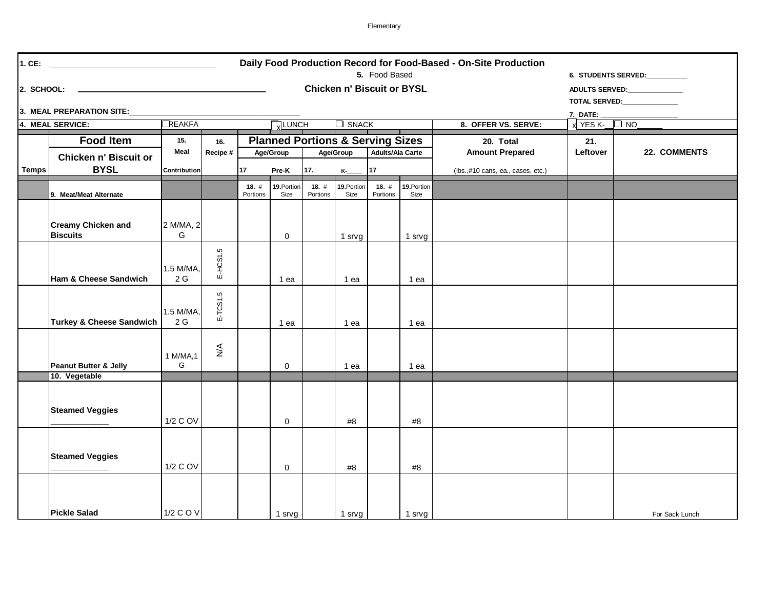Elementary

| Daily Food Production Record for Food-Based - On-Site Production<br>$1.$ CE:<br>5. Food Based<br><b>6. STUDENTS SERVED:</b> |                                              |                              |                 |                     |                     |                                                                                     |                     |                  |                     |                                     |                                                                  |                |
|-----------------------------------------------------------------------------------------------------------------------------|----------------------------------------------|------------------------------|-----------------|---------------------|---------------------|-------------------------------------------------------------------------------------|---------------------|------------------|---------------------|-------------------------------------|------------------------------------------------------------------|----------------|
| <b>Chicken n' Biscuit or BYSL</b><br>2. SCHOOL:<br><u> 1989 - Johann Barn, amerikansk politiker (d. 1989)</u>               |                                              |                              |                 |                     |                     |                                                                                     |                     |                  |                     |                                     | ADULTS SERVED: NATIONAL RESERVED:<br>TOTAL SERVED: TOTAL SERVED: |                |
| 3. MEAL PREPARATION SITE:<br>7. DATE:                                                                                       |                                              |                              |                 |                     |                     |                                                                                     |                     |                  |                     |                                     |                                                                  |                |
|                                                                                                                             | $\Box$ Reakfa<br>VLUNCH<br>4. MEAL SERVICE:  |                              |                 |                     |                     |                                                                                     |                     | $\Box$ SNACK     |                     | 8. OFFER VS. SERVE:                 | $X$ YES K- $\Box$ NO                                             |                |
|                                                                                                                             | <b>Food Item</b>                             | 15.<br>Meal                  | 16.<br>Recipe # |                     | Age/Group           | <b>Planned Portions &amp; Serving Sizes</b><br><b>Adults/Ala Carte</b><br>Age/Group |                     |                  |                     | 20. Total<br><b>Amount Prepared</b> | 21.<br>Leftover                                                  | 22. COMMENTS   |
| <b>Temps</b>                                                                                                                | Chicken n' Biscuit or<br><b>BYSL</b>         | Contribution                 |                 | 17<br>Pre-K         |                     | 17.<br>$K_{-}$                                                                      |                     | 17               |                     | (lbs.,#10 cans, ea., cases, etc.)   |                                                                  |                |
|                                                                                                                             | 9. Meat/Meat Alternate                       |                              |                 | 18. $#$<br>Portions | 19. Portion<br>Size | 18.#<br>Portions                                                                    | 19. Portion<br>Size | 18.#<br>Portions | 19. Portion<br>Size |                                     |                                                                  |                |
|                                                                                                                             | <b>Creamy Chicken and</b><br><b>Biscuits</b> | 2 M/MA, 2<br>G               |                 |                     | $\mathbf 0$         |                                                                                     | 1 srvg              |                  | 1 srvg              |                                     |                                                                  |                |
|                                                                                                                             | Ham & Cheese Sandwich                        | 1.5 M/MA,<br>$2\,\mathrm{G}$ | E-HCS1.5        |                     | 1 ea                |                                                                                     | 1 ea                |                  | 1 ea                |                                     |                                                                  |                |
|                                                                                                                             | <b>Turkey &amp; Cheese Sandwich</b>          | 1.5 M/MA,<br>2 G             | E-TCS1.5        |                     | 1 ea                |                                                                                     | 1 ea                |                  | 1 ea                |                                     |                                                                  |                |
|                                                                                                                             | Peanut Butter & Jelly                        | 1 M/MA, 1<br>G               | $\frac{4}{5}$   |                     | 0                   |                                                                                     | 1 ea                |                  | 1 ea                |                                     |                                                                  |                |
|                                                                                                                             | 10. Vegetable                                |                              |                 |                     |                     |                                                                                     |                     |                  |                     |                                     |                                                                  |                |
|                                                                                                                             | <b>Steamed Veggies</b>                       | 1/2 C OV                     |                 |                     | 0                   |                                                                                     | #8                  |                  | #8                  |                                     |                                                                  |                |
|                                                                                                                             | <b>Steamed Veggies</b>                       | 1/2 C OV                     |                 |                     | 0                   |                                                                                     | #8                  |                  | #8                  |                                     |                                                                  |                |
|                                                                                                                             | <b>Pickle Salad</b>                          | 1/2 C O V                    |                 |                     | 1 srvg              |                                                                                     | 1 srvg              |                  | 1 srvg              |                                     |                                                                  | For Sack Lunch |